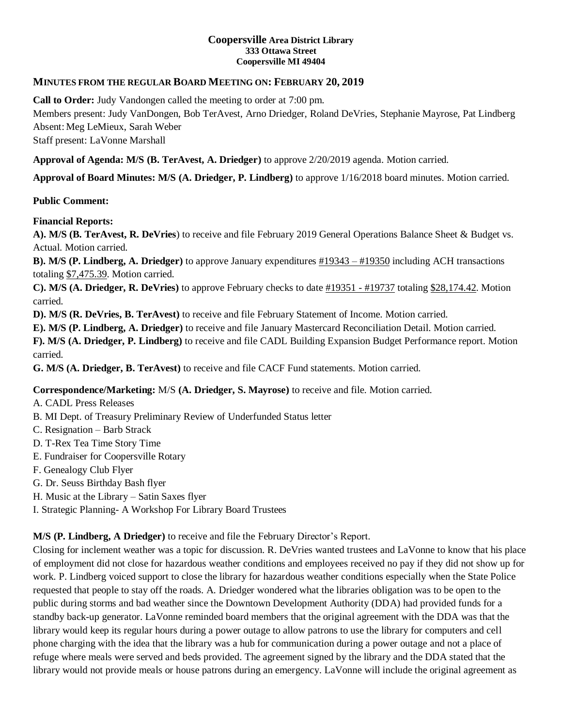### **Coopersville Area District Library 333 Ottawa Street Coopersville MI 49404**

## **MINUTES FROM THE REGULAR BOARD MEETING ON: FEBRUARY 20, 2019**

**Call to Order:** Judy Vandongen called the meeting to order at 7:00 pm.

Members present: Judy VanDongen, Bob TerAvest, Arno Driedger, Roland DeVries, Stephanie Mayrose, Pat Lindberg Absent: Meg LeMieux, Sarah Weber

Staff present: LaVonne Marshall

**Approval of Agenda: M/S (B. TerAvest, A. Driedger)** to approve 2/20/2019 agenda. Motion carried.

**Approval of Board Minutes: M/S (A. Driedger, P. Lindberg)** to approve 1/16/2018 board minutes. Motion carried.

## **Public Comment:**

## **Financial Reports:**

**A). M/S (B. TerAvest, R. DeVries**) to receive and file February 2019 General Operations Balance Sheet & Budget vs. Actual. Motion carried.

**B). M/S (P. Lindberg, A. Driedger)** to approve January expenditures #19343 – #19350 including ACH transactions totaling \$7,475.39. Motion carried.

**C). M/S (A. Driedger, R. DeVries)** to approve February checks to date #19351 - #19737 totaling \$28,174.42. Motion carried.

**D). M/S (R. DeVries, B. TerAvest)** to receive and file February Statement of Income. Motion carried.

**E). M/S (P. Lindberg, A. Driedger)** to receive and file January Mastercard Reconciliation Detail. Motion carried.

**F). M/S (A. Driedger, P. Lindberg)** to receive and file CADL Building Expansion Budget Performance report. Motion carried.

**G. M/S (A. Driedger, B. TerAvest)** to receive and file CACF Fund statements. Motion carried.

# **Correspondence/Marketing:** M/S **(A. Driedger, S. Mayrose)** to receive and file. Motion carried.

A. CADL Press Releases

- B. MI Dept. of Treasury Preliminary Review of Underfunded Status letter
- C. Resignation Barb Strack
- D. T-Rex Tea Time Story Time
- E. Fundraiser for Coopersville Rotary
- F. Genealogy Club Flyer
- G. Dr. Seuss Birthday Bash flyer
- H. Music at the Library Satin Saxes flyer

I. Strategic Planning- A Workshop For Library Board Trustees

**M/S (P. Lindberg, A Driedger)** to receive and file the February Director's Report.

Closing for inclement weather was a topic for discussion. R. DeVries wanted trustees and LaVonne to know that his place of employment did not close for hazardous weather conditions and employees received no pay if they did not show up for work. P. Lindberg voiced support to close the library for hazardous weather conditions especially when the State Police requested that people to stay off the roads. A. Driedger wondered what the libraries obligation was to be open to the public during storms and bad weather since the Downtown Development Authority (DDA) had provided funds for a standby back-up generator. LaVonne reminded board members that the original agreement with the DDA was that the library would keep its regular hours during a power outage to allow patrons to use the library for computers and cell phone charging with the idea that the library was a hub for communication during a power outage and not a place of refuge where meals were served and beds provided. The agreement signed by the library and the DDA stated that the library would not provide meals or house patrons during an emergency. LaVonne will include the original agreement as